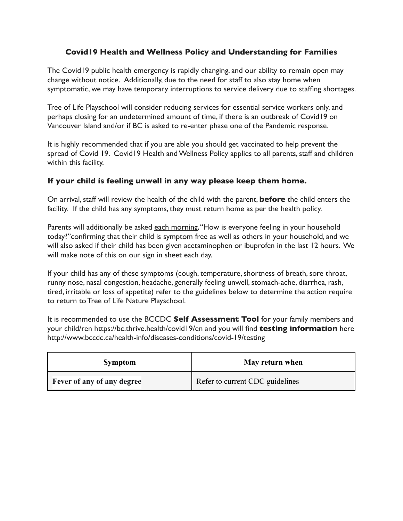## **Covid19 Health and Wellness Policy and Understanding for Families**

The Covid19 public health emergency is rapidly changing, and our ability to remain open may change without notice. Additionally, due to the need for staff to also stay home when symptomatic, we may have temporary interruptions to service delivery due to staffing shortages.

Tree of Life Playschool will consider reducing services for essential service workers only, and perhaps closing for an undetermined amount of time, if there is an outbreak of Covid19 on Vancouver Island and/or if BC is asked to re-enter phase one of the Pandemic response.

It is highly recommended that if you are able you should get vaccinated to help prevent the spread of Covid 19. Covid19 Health and Wellness Policy applies to all parents, staff and children within this facility.

## **If your child is feeling unwell in any way please keep them home.**

On arrival, staff will review the health of the child with the parent, **before** the child enters the facility. If the child has any symptoms, they must return home as per the health policy.

Parents will additionally be asked each morning, "How is everyone feeling in your household today?"confirming that their child is symptom free as well as others in your household, and we will also asked if their child has been given acetaminophen or ibuprofen in the last 12 hours. We will make note of this on our sign in sheet each day.

If your child has any of these symptoms (cough, temperature, shortness of breath, sore throat, runny nose, nasal congestion, headache, generally feeling unwell, stomach-ache, diarrhea, rash, tired, irritable or loss of appetite) refer to the guidelines below to determine the action require to return to Tree of Life Nature Playschool.

It is recommended to use the BCCDC **Self Assessment Tool** for your family members and your child/ren<https://bc.thrive.health/covid19/en> and you will find **testing information** here <http://www.bccdc.ca/health-info/diseases-conditions/covid-19/testing>

| <b>Symptom</b>             | May return when                 |
|----------------------------|---------------------------------|
| Fever of any of any degree | Refer to current CDC guidelines |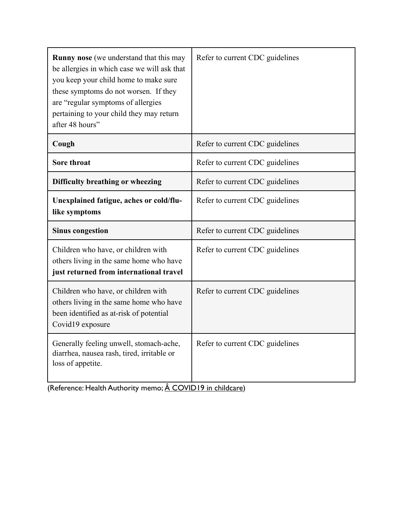| <b>Runny nose</b> (we understand that this may<br>be allergies in which case we will ask that<br>you keep your child home to make sure<br>these symptoms do not worsen. If they<br>are "regular symptoms of allergies<br>pertaining to your child they may return<br>after 48 hours" | Refer to current CDC guidelines |
|--------------------------------------------------------------------------------------------------------------------------------------------------------------------------------------------------------------------------------------------------------------------------------------|---------------------------------|
| Cough                                                                                                                                                                                                                                                                                | Refer to current CDC guidelines |
| Sore throat                                                                                                                                                                                                                                                                          | Refer to current CDC guidelines |
| Difficulty breathing or wheezing                                                                                                                                                                                                                                                     | Refer to current CDC guidelines |
| Unexplained fatigue, aches or cold/flu-<br>like symptoms                                                                                                                                                                                                                             | Refer to current CDC guidelines |
| <b>Sinus congestion</b>                                                                                                                                                                                                                                                              | Refer to current CDC guidelines |
| Children who have, or children with<br>others living in the same home who have<br>just returned from international travel                                                                                                                                                            | Refer to current CDC guidelines |
| Children who have, or children with<br>others living in the same home who have<br>been identified as at-risk of potential<br>Covid19 exposure                                                                                                                                        | Refer to current CDC guidelines |
| Generally feeling unwell, stomach-ache,<br>diarrhea, nausea rash, tired, irritable or<br>loss of appetite.                                                                                                                                                                           | Refer to current CDC guidelines |

[\(Reference: Health Authority](https://drive.google.com/open?id=17yKMxLBrjmQGaNZB7s8eP7jKIONUnX-F) memo;  $\overrightarrow{A}$  [COVID19 in childcare](https://drive.google.com/open?id=1fktLQsNSJJs0HQzaqA9Mhem3iwF944Mj))